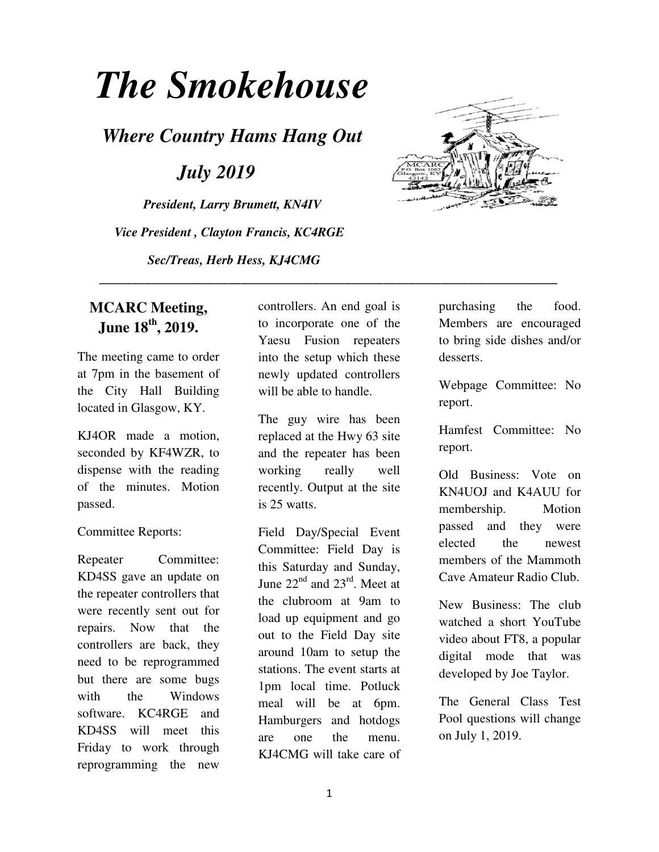# *The Smokehouse*

*Where Country Hams Hang Out* 

 *July 2019* 

*President, Larry Brumett, KN4IV Vice President , Clayton Francis, KC4RGE Sec/Treas, Herb Hess, KJ4CMG* 



## **MCARC Meeting, June 18th, 2019.**

The meeting came to order at 7pm in the basement of the City Hall Building located in Glasgow, KY.

KJ4OR made a motion, seconded by KF4WZR, to dispense with the reading of the minutes. Motion passed.

#### Committee Reports:

Repeater Committee: KD4SS gave an update on the repeater controllers that were recently sent out for repairs. Now that the controllers are back, they need to be reprogrammed but there are some bugs with the Windows software. KC4RGE and KD4SS will meet this Friday to work through reprogramming the new

controllers. An end goal is to incorporate one of the Yaesu Fusion repeaters into the setup which these newly updated controllers will be able to handle.

 **\_\_\_\_\_\_\_\_\_\_\_\_\_\_\_\_\_\_\_\_\_\_\_\_\_\_\_\_\_\_\_\_\_\_\_\_\_\_\_\_\_\_\_\_\_\_\_\_\_\_\_\_\_\_\_\_\_\_\_\_\_\_\_\_\_\_\_\_\_\_\_** 

The guy wire has been replaced at the Hwy 63 site and the repeater has been working really well recently. Output at the site is 25 watts.

Field Day/Special Event Committee: Field Day is this Saturday and Sunday, June  $22<sup>nd</sup>$  and  $23<sup>rd</sup>$ . Meet at the clubroom at 9am to load up equipment and go out to the Field Day site around 10am to setup the stations. The event starts at 1pm local time. Potluck meal will be at 6pm. Hamburgers and hotdogs are one the menu. KJ4CMG will take care of purchasing the food. Members are encouraged to bring side dishes and/or desserts.

Webpage Committee: No report.

Hamfest Committee: No report.

Old Business: Vote on KN4UOJ and K4AUU for membership. Motion passed and they were elected the newest members of the Mammoth Cave Amateur Radio Club.

New Business: The club watched a short YouTube video about FT8, a popular digital mode that was developed by Joe Taylor.

The General Class Test Pool questions will change on July 1, 2019.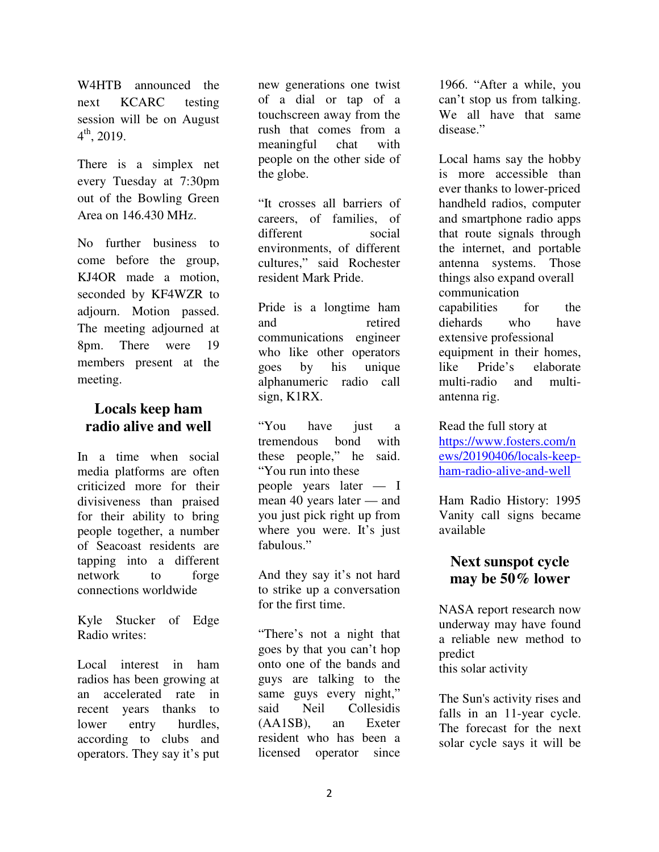The meeting adjourned at 8pm. There were 19 members present at the meeting.

W4HTB announced the next KCARC testing session will be on August

There is a simplex net every Tuesday at 7:30pm out of the Bowling Green Area on 146.430 MHz.

No further business to come before the group, KJ4OR made a motion, seconded by KF4WZR to adjourn. Motion passed.

 $4^{\text{th}}$ , 2019.

#### **Locals keep ham radio alive and well**

In a time when social media platforms are often criticized more for their divisiveness than praised for their ability to bring people together, a number of Seacoast residents are tapping into a different network to forge connections worldwide

Kyle Stucker of Edge Radio writes:

Local interest in ham radios has been growing at an accelerated rate in recent years thanks to lower entry hurdles, according to clubs and operators. They say it's put new generations one twist of a dial or tap of a touchscreen away from the rush that comes from a meaningful chat with people on the other side of the globe.

"It crosses all barriers of careers, of families, of different social environments, of different cultures," said Rochester resident Mark Pride.

Pride is a longtime ham and retired communications engineer who like other operators goes by his unique alphanumeric radio call sign, K1RX.

"You have just a tremendous bond with these people," he said. "You run into these people years later — I mean 40 years later — and you just pick right up from where you were. It's just fabulous."

And they say it's not hard to strike up a conversation for the first time.

"There's not a night that goes by that you can't hop onto one of the bands and guys are talking to the same guys every night," said Neil Collesidis (AA1SB), an Exeter resident who has been a licensed operator since

1966. "After a while, you can't stop us from talking. We all have that same disease."

Local hams say the hobby is more accessible than ever thanks to lower-priced handheld radios, computer and smartphone radio apps that route signals through the internet, and portable antenna systems. Those things also expand overall communication capabilities for the diehards who have extensive professional equipment in their homes, like Pride's elaborate multi-radio and multiantenna rig.

Read the full story at https://www.fosters.com/n ews/20190406/locals-keepham-radio-alive-and-well

Ham Radio History: 1995 Vanity call signs became available

#### **Next sunspot cycle may be 50% lower**

NASA report research now underway may have found a reliable new method to predict this solar activity

The Sun's activity rises and falls in an 11-year cycle. The forecast for the next solar cycle says it will be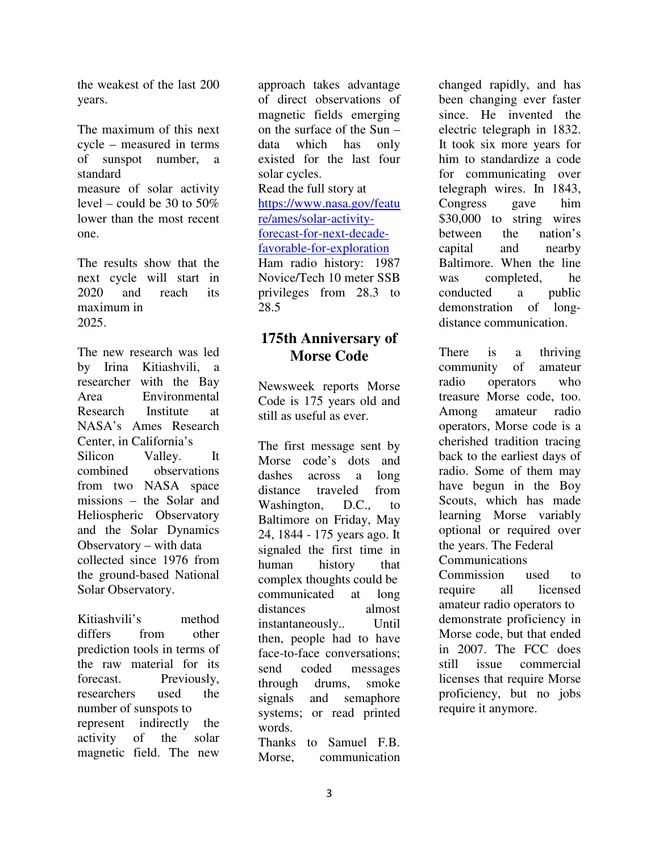the weakest of the last 200 years.

The maximum of this next cycle – measured in terms of sunspot number, a standard measure of solar activity level – could be 30 to  $50\%$ lower than the most recent one.

The results show that the next cycle will start in 2020 and reach its maximum in 2025.

The new research was led by Irina Kitiashvili, a researcher with the Bay Area Environmental Research Institute at NASA's Ames Research Center, in California's Silicon Valley. It combined observations from two NASA space missions – the Solar and Heliospheric Observatory and the Solar Dynamics Observatory – with data collected since 1976 from the ground-based National Solar Observatory.

Kitiashvili's method differs from other prediction tools in terms of the raw material for its forecast. Previously, researchers used the number of sunspots to represent indirectly the activity of the solar magnetic field. The new

approach takes advantage of direct observations of magnetic fields emerging on the surface of the Sun – data which has only existed for the last four solar cycles. Read the full story at https://www.nasa.gov/featu re/ames/solar-activityforecast-for-next-decadefavorable-for-exploration Ham radio history: 1987 Novice/Tech 10 meter SSB privileges from 28.3 to 28.5

## **175th Anniversary of Morse Code**

Newsweek reports Morse Code is 175 years old and still as useful as ever.

The first message sent by Morse code's dots and dashes across a long distance traveled from Washington, D.C., to Baltimore on Friday, May 24, 1844 - 175 years ago. It signaled the first time in human history that complex thoughts could be communicated at long distances almost instantaneously.. Until then, people had to have face-to-face conversations; send coded messages through drums, smoke signals and semaphore systems; or read printed words.

Thanks to Samuel F.B. Morse, communication changed rapidly, and has been changing ever faster since. He invented the electric telegraph in 1832. It took six more years for him to standardize a code for communicating over telegraph wires. In 1843, Congress gave him \$30,000 to string wires between the nation's capital and nearby Baltimore. When the line was completed, he conducted a public demonstration of longdistance communication.

There is a thriving community of amateur radio operators who treasure Morse code, too. Among amateur radio operators, Morse code is a cherished tradition tracing back to the earliest days of radio. Some of them may have begun in the Boy Scouts, which has made learning Morse variably optional or required over the years. The Federal **Communications** Commission used to require all licensed amateur radio operators to demonstrate proficiency in Morse code, but that ended in 2007. The FCC does still issue commercial licenses that require Morse

proficiency, but no jobs

require it anymore.